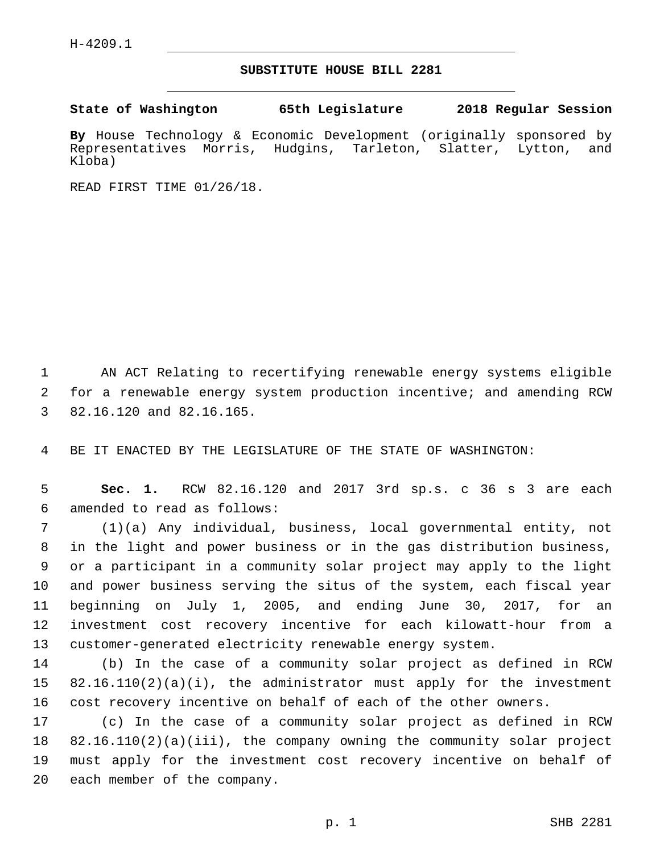## **SUBSTITUTE HOUSE BILL 2281**

**State of Washington 65th Legislature 2018 Regular Session**

**By** House Technology & Economic Development (originally sponsored by Representatives Morris, Hudgins, Tarleton, Slatter, Lytton, and Kloba)

READ FIRST TIME 01/26/18.

 AN ACT Relating to recertifying renewable energy systems eligible for a renewable energy system production incentive; and amending RCW 3 82.16.120 and 82.16.165.

BE IT ENACTED BY THE LEGISLATURE OF THE STATE OF WASHINGTON:

 **Sec. 1.** RCW 82.16.120 and 2017 3rd sp.s. c 36 s 3 are each amended to read as follows:6

 (1)(a) Any individual, business, local governmental entity, not in the light and power business or in the gas distribution business, or a participant in a community solar project may apply to the light and power business serving the situs of the system, each fiscal year beginning on July 1, 2005, and ending June 30, 2017, for an investment cost recovery incentive for each kilowatt-hour from a customer-generated electricity renewable energy system.

 (b) In the case of a community solar project as defined in RCW 82.16.110(2)(a)(i), the administrator must apply for the investment cost recovery incentive on behalf of each of the other owners.

 (c) In the case of a community solar project as defined in RCW 82.16.110(2)(a)(iii), the company owning the community solar project must apply for the investment cost recovery incentive on behalf of 20 each member of the company.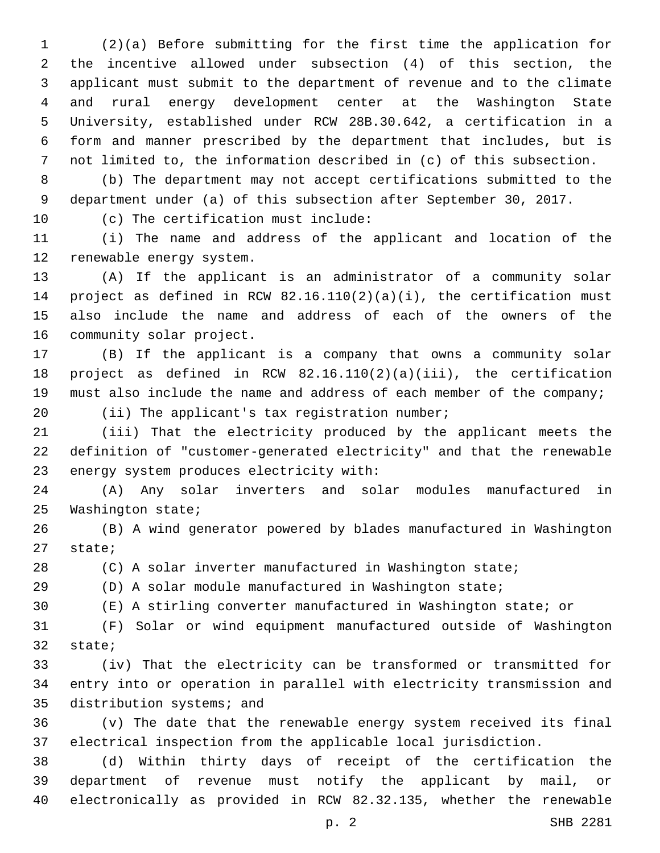(2)(a) Before submitting for the first time the application for the incentive allowed under subsection (4) of this section, the applicant must submit to the department of revenue and to the climate and rural energy development center at the Washington State University, established under RCW 28B.30.642, a certification in a form and manner prescribed by the department that includes, but is not limited to, the information described in (c) of this subsection.

 (b) The department may not accept certifications submitted to the department under (a) of this subsection after September 30, 2017.

10 (c) The certification must include:

 (i) The name and address of the applicant and location of the 12 renewable energy system.

 (A) If the applicant is an administrator of a community solar project as defined in RCW 82.16.110(2)(a)(i), the certification must also include the name and address of each of the owners of the 16 community solar project.

 (B) If the applicant is a company that owns a community solar project as defined in RCW 82.16.110(2)(a)(iii), the certification must also include the name and address of each member of the company;

20 (ii) The applicant's tax registration number;

 (iii) That the electricity produced by the applicant meets the definition of "customer-generated electricity" and that the renewable 23 energy system produces electricity with:

 (A) Any solar inverters and solar modules manufactured in 25 Washington state;

 (B) A wind generator powered by blades manufactured in Washington 27 state;

(C) A solar inverter manufactured in Washington state;

(D) A solar module manufactured in Washington state;

(E) A stirling converter manufactured in Washington state; or

 (F) Solar or wind equipment manufactured outside of Washington 32 state;

 (iv) That the electricity can be transformed or transmitted for entry into or operation in parallel with electricity transmission and 35 distribution systems; and

 (v) The date that the renewable energy system received its final electrical inspection from the applicable local jurisdiction.

 (d) Within thirty days of receipt of the certification the department of revenue must notify the applicant by mail, or electronically as provided in RCW 82.32.135, whether the renewable

p. 2 SHB 2281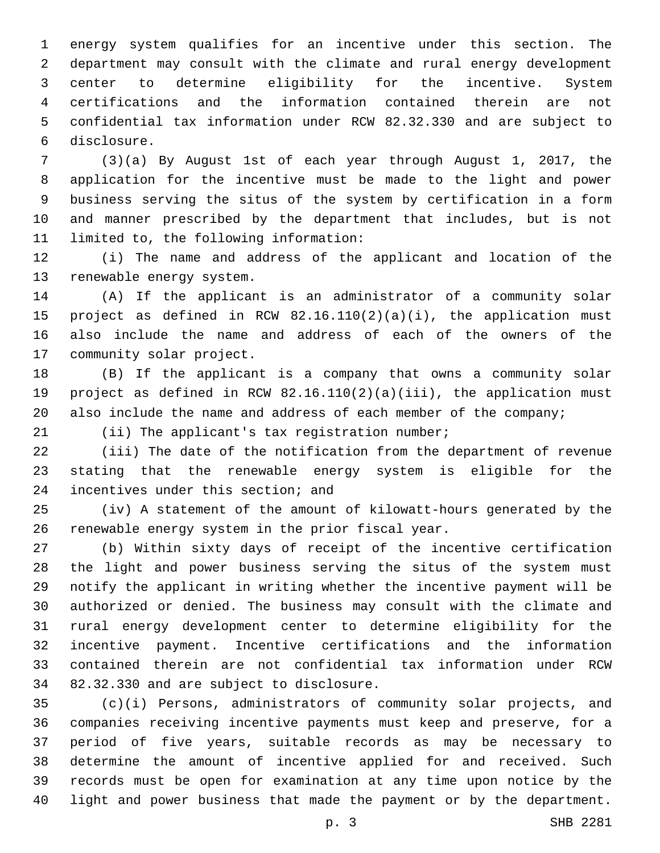energy system qualifies for an incentive under this section. The department may consult with the climate and rural energy development center to determine eligibility for the incentive. System certifications and the information contained therein are not confidential tax information under RCW 82.32.330 and are subject to disclosure.6

 (3)(a) By August 1st of each year through August 1, 2017, the application for the incentive must be made to the light and power business serving the situs of the system by certification in a form and manner prescribed by the department that includes, but is not 11 limited to, the following information:

 (i) The name and address of the applicant and location of the 13 renewable energy system.

 (A) If the applicant is an administrator of a community solar project as defined in RCW 82.16.110(2)(a)(i), the application must also include the name and address of each of the owners of the 17 community solar project.

 (B) If the applicant is a company that owns a community solar project as defined in RCW 82.16.110(2)(a)(iii), the application must 20 also include the name and address of each member of the company;

21 (ii) The applicant's tax registration number;

 (iii) The date of the notification from the department of revenue stating that the renewable energy system is eligible for the 24 incentives under this section; and

 (iv) A statement of the amount of kilowatt-hours generated by the 26 renewable energy system in the prior fiscal year.

 (b) Within sixty days of receipt of the incentive certification the light and power business serving the situs of the system must notify the applicant in writing whether the incentive payment will be authorized or denied. The business may consult with the climate and rural energy development center to determine eligibility for the incentive payment. Incentive certifications and the information contained therein are not confidential tax information under RCW 34 82.32.330 and are subject to disclosure.

 (c)(i) Persons, administrators of community solar projects, and companies receiving incentive payments must keep and preserve, for a period of five years, suitable records as may be necessary to determine the amount of incentive applied for and received. Such records must be open for examination at any time upon notice by the light and power business that made the payment or by the department.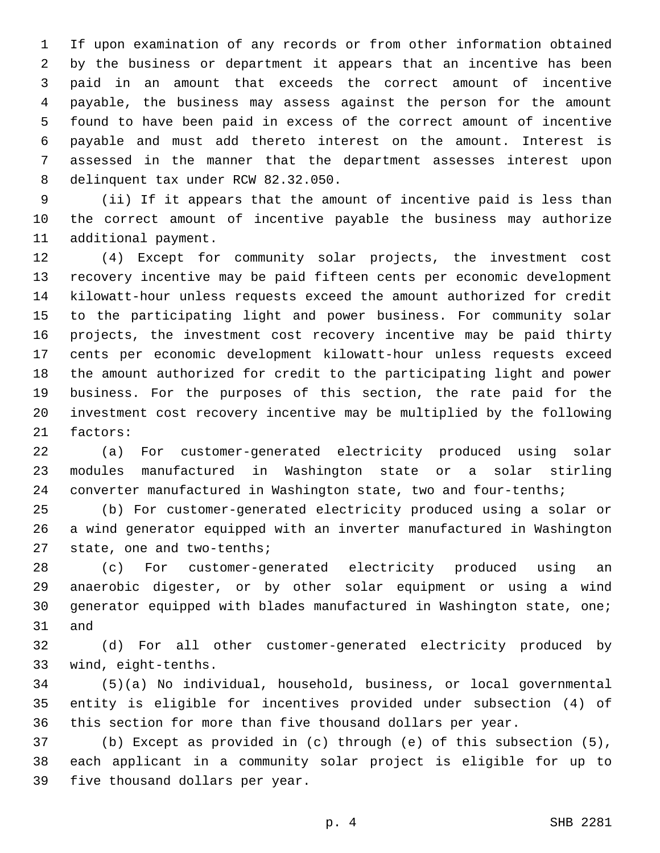If upon examination of any records or from other information obtained by the business or department it appears that an incentive has been paid in an amount that exceeds the correct amount of incentive payable, the business may assess against the person for the amount found to have been paid in excess of the correct amount of incentive payable and must add thereto interest on the amount. Interest is assessed in the manner that the department assesses interest upon 8 delinquent tax under RCW 82.32.050.

 (ii) If it appears that the amount of incentive paid is less than the correct amount of incentive payable the business may authorize 11 additional payment.

 (4) Except for community solar projects, the investment cost recovery incentive may be paid fifteen cents per economic development kilowatt-hour unless requests exceed the amount authorized for credit to the participating light and power business. For community solar projects, the investment cost recovery incentive may be paid thirty cents per economic development kilowatt-hour unless requests exceed the amount authorized for credit to the participating light and power business. For the purposes of this section, the rate paid for the investment cost recovery incentive may be multiplied by the following 21 factors:

 (a) For customer-generated electricity produced using solar modules manufactured in Washington state or a solar stirling converter manufactured in Washington state, two and four-tenths;

 (b) For customer-generated electricity produced using a solar or a wind generator equipped with an inverter manufactured in Washington 27 state, one and two-tenths;

 (c) For customer-generated electricity produced using an anaerobic digester, or by other solar equipment or using a wind generator equipped with blades manufactured in Washington state, one; 31 and

 (d) For all other customer-generated electricity produced by wind, eight-tenths.33

 (5)(a) No individual, household, business, or local governmental entity is eligible for incentives provided under subsection (4) of this section for more than five thousand dollars per year.

 (b) Except as provided in (c) through (e) of this subsection (5), each applicant in a community solar project is eligible for up to 39 five thousand dollars per year.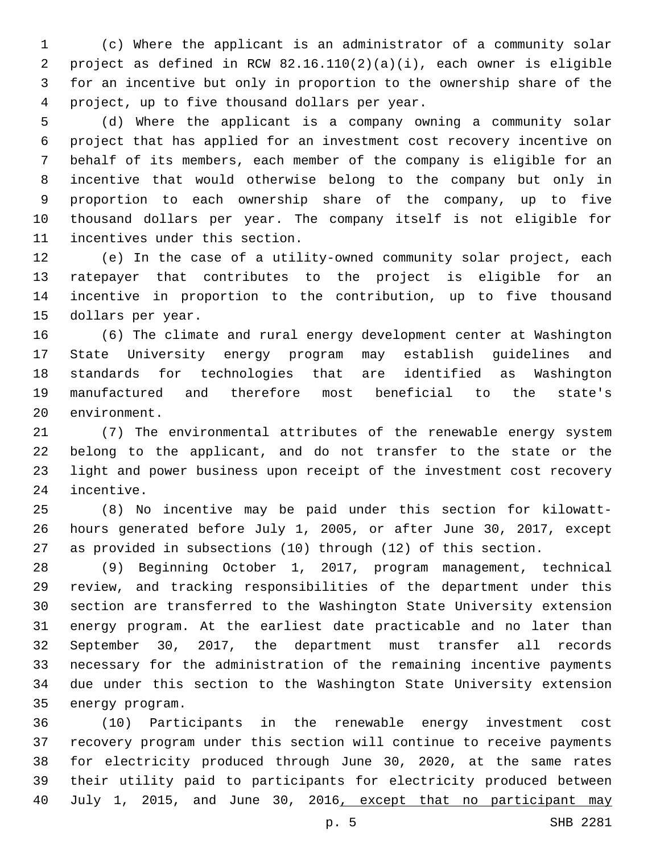(c) Where the applicant is an administrator of a community solar project as defined in RCW 82.16.110(2)(a)(i), each owner is eligible for an incentive but only in proportion to the ownership share of the project, up to five thousand dollars per year.4

 (d) Where the applicant is a company owning a community solar project that has applied for an investment cost recovery incentive on behalf of its members, each member of the company is eligible for an incentive that would otherwise belong to the company but only in proportion to each ownership share of the company, up to five thousand dollars per year. The company itself is not eligible for 11 incentives under this section.

 (e) In the case of a utility-owned community solar project, each ratepayer that contributes to the project is eligible for an incentive in proportion to the contribution, up to five thousand 15 dollars per year.

 (6) The climate and rural energy development center at Washington State University energy program may establish guidelines and standards for technologies that are identified as Washington manufactured and therefore most beneficial to the state's 20 environment.

 (7) The environmental attributes of the renewable energy system belong to the applicant, and do not transfer to the state or the light and power business upon receipt of the investment cost recovery 24 incentive.

 (8) No incentive may be paid under this section for kilowatt- hours generated before July 1, 2005, or after June 30, 2017, except as provided in subsections (10) through (12) of this section.

 (9) Beginning October 1, 2017, program management, technical review, and tracking responsibilities of the department under this section are transferred to the Washington State University extension energy program. At the earliest date practicable and no later than September 30, 2017, the department must transfer all records necessary for the administration of the remaining incentive payments due under this section to the Washington State University extension 35 energy program.

 (10) Participants in the renewable energy investment cost recovery program under this section will continue to receive payments for electricity produced through June 30, 2020, at the same rates their utility paid to participants for electricity produced between 40 July 1, 2015, and June 30, 2016, except that no participant may

p. 5 SHB 2281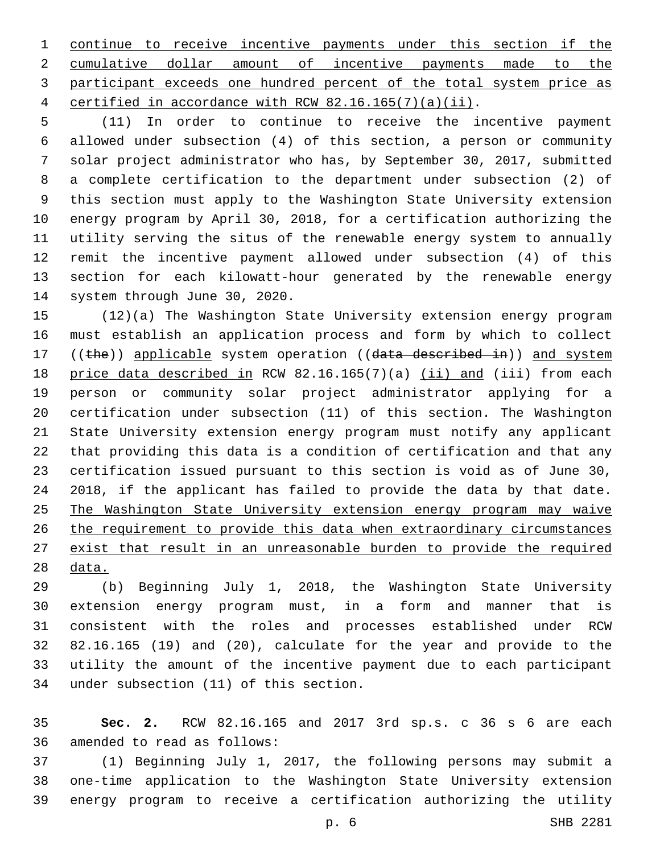continue to receive incentive payments under this section if the cumulative dollar amount of incentive payments made to the participant exceeds one hundred percent of the total system price as certified in accordance with RCW 82.16.165(7)(a)(ii).

 (11) In order to continue to receive the incentive payment allowed under subsection (4) of this section, a person or community solar project administrator who has, by September 30, 2017, submitted a complete certification to the department under subsection (2) of this section must apply to the Washington State University extension energy program by April 30, 2018, for a certification authorizing the utility serving the situs of the renewable energy system to annually remit the incentive payment allowed under subsection (4) of this section for each kilowatt-hour generated by the renewable energy 14 system through June 30, 2020.

 (12)(a) The Washington State University extension energy program must establish an application process and form by which to collect 17 ((the)) applicable system operation ((data described in)) and system 18 price data described in RCW 82.16.165(7)(a) (ii) and (iii) from each person or community solar project administrator applying for a certification under subsection (11) of this section. The Washington State University extension energy program must notify any applicant that providing this data is a condition of certification and that any certification issued pursuant to this section is void as of June 30, 2018, if the applicant has failed to provide the data by that date. The Washington State University extension energy program may waive the requirement to provide this data when extraordinary circumstances exist that result in an unreasonable burden to provide the required data.

 (b) Beginning July 1, 2018, the Washington State University extension energy program must, in a form and manner that is consistent with the roles and processes established under RCW 82.16.165 (19) and (20), calculate for the year and provide to the utility the amount of the incentive payment due to each participant 34 under subsection (11) of this section.

 **Sec. 2.** RCW 82.16.165 and 2017 3rd sp.s. c 36 s 6 are each 36 amended to read as follows:

 (1) Beginning July 1, 2017, the following persons may submit a one-time application to the Washington State University extension energy program to receive a certification authorizing the utility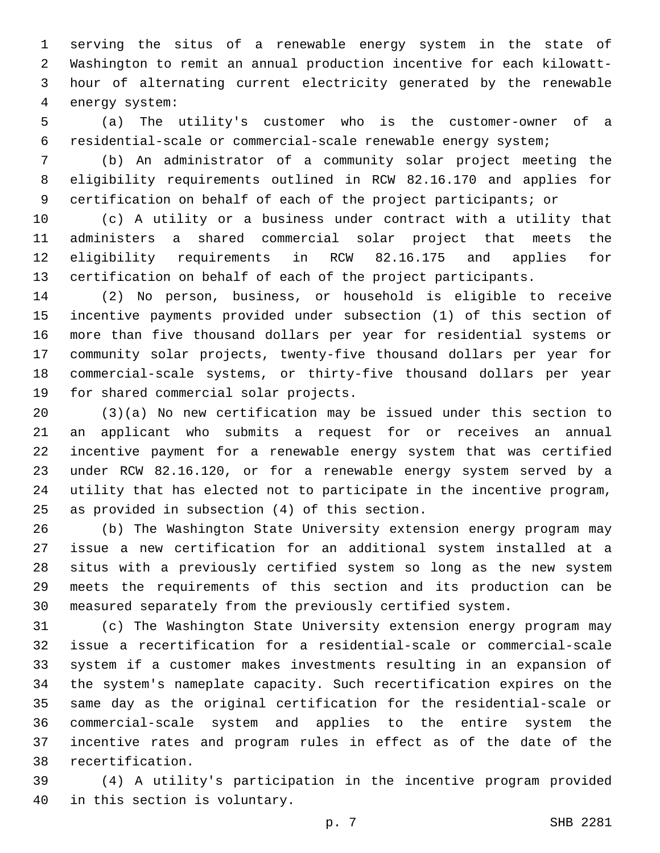serving the situs of a renewable energy system in the state of Washington to remit an annual production incentive for each kilowatt- hour of alternating current electricity generated by the renewable 4 energy system:

 (a) The utility's customer who is the customer-owner of a residential-scale or commercial-scale renewable energy system;

 (b) An administrator of a community solar project meeting the eligibility requirements outlined in RCW 82.16.170 and applies for certification on behalf of each of the project participants; or

 (c) A utility or a business under contract with a utility that administers a shared commercial solar project that meets the eligibility requirements in RCW 82.16.175 and applies for certification on behalf of each of the project participants.

 (2) No person, business, or household is eligible to receive incentive payments provided under subsection (1) of this section of more than five thousand dollars per year for residential systems or community solar projects, twenty-five thousand dollars per year for commercial-scale systems, or thirty-five thousand dollars per year 19 for shared commercial solar projects.

 (3)(a) No new certification may be issued under this section to an applicant who submits a request for or receives an annual incentive payment for a renewable energy system that was certified under RCW 82.16.120, or for a renewable energy system served by a utility that has elected not to participate in the incentive program, 25 as provided in subsection  $(4)$  of this section.

 (b) The Washington State University extension energy program may issue a new certification for an additional system installed at a situs with a previously certified system so long as the new system meets the requirements of this section and its production can be measured separately from the previously certified system.

 (c) The Washington State University extension energy program may issue a recertification for a residential-scale or commercial-scale system if a customer makes investments resulting in an expansion of the system's nameplate capacity. Such recertification expires on the same day as the original certification for the residential-scale or commercial-scale system and applies to the entire system the incentive rates and program rules in effect as of the date of the 38 recertification.

 (4) A utility's participation in the incentive program provided 40 in this section is voluntary.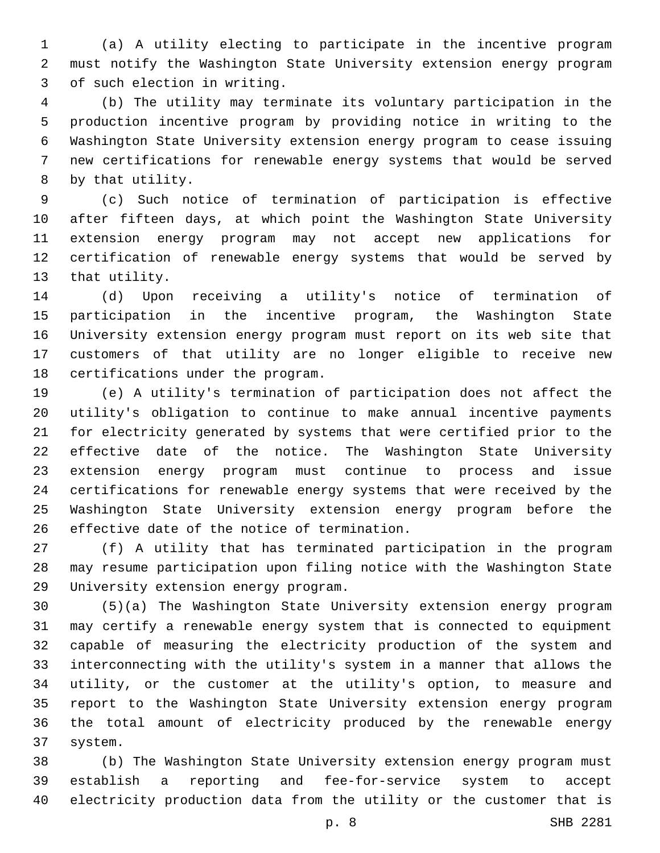(a) A utility electing to participate in the incentive program must notify the Washington State University extension energy program 3 of such election in writing.

 (b) The utility may terminate its voluntary participation in the production incentive program by providing notice in writing to the Washington State University extension energy program to cease issuing new certifications for renewable energy systems that would be served 8 by that utility.

 (c) Such notice of termination of participation is effective after fifteen days, at which point the Washington State University extension energy program may not accept new applications for certification of renewable energy systems that would be served by 13 that utility.

 (d) Upon receiving a utility's notice of termination of participation in the incentive program, the Washington State University extension energy program must report on its web site that customers of that utility are no longer eligible to receive new 18 certifications under the program.

 (e) A utility's termination of participation does not affect the utility's obligation to continue to make annual incentive payments for electricity generated by systems that were certified prior to the effective date of the notice. The Washington State University extension energy program must continue to process and issue certifications for renewable energy systems that were received by the Washington State University extension energy program before the 26 effective date of the notice of termination.

 (f) A utility that has terminated participation in the program may resume participation upon filing notice with the Washington State 29 University extension energy program.

 (5)(a) The Washington State University extension energy program may certify a renewable energy system that is connected to equipment capable of measuring the electricity production of the system and interconnecting with the utility's system in a manner that allows the utility, or the customer at the utility's option, to measure and report to the Washington State University extension energy program the total amount of electricity produced by the renewable energy system.37

 (b) The Washington State University extension energy program must establish a reporting and fee-for-service system to accept electricity production data from the utility or the customer that is

p. 8 SHB 2281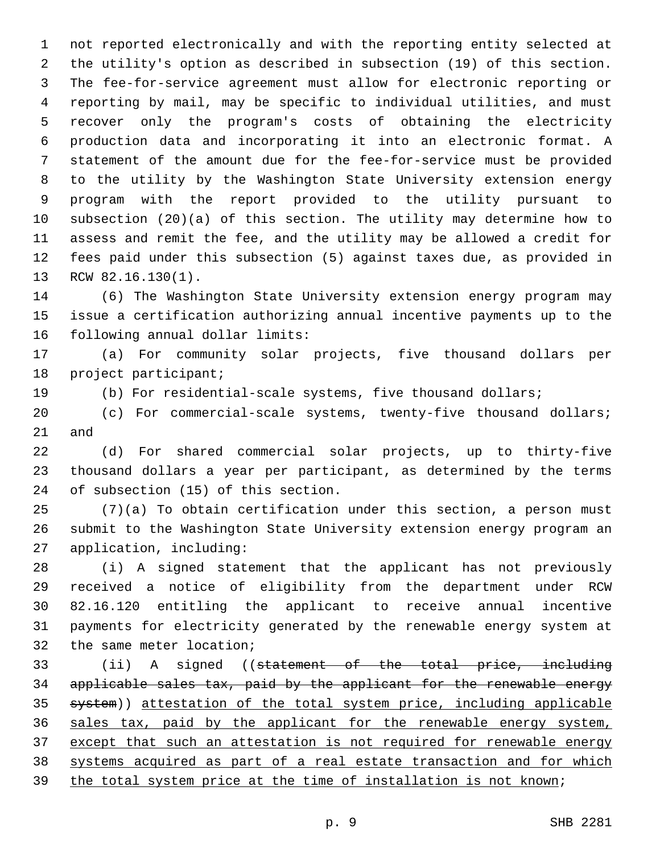not reported electronically and with the reporting entity selected at the utility's option as described in subsection (19) of this section. The fee-for-service agreement must allow for electronic reporting or reporting by mail, may be specific to individual utilities, and must recover only the program's costs of obtaining the electricity production data and incorporating it into an electronic format. A statement of the amount due for the fee-for-service must be provided to the utility by the Washington State University extension energy program with the report provided to the utility pursuant to subsection (20)(a) of this section. The utility may determine how to assess and remit the fee, and the utility may be allowed a credit for fees paid under this subsection (5) against taxes due, as provided in 13 RCW 82.16.130(1).

 (6) The Washington State University extension energy program may issue a certification authorizing annual incentive payments up to the 16 following annual dollar limits:

 (a) For community solar projects, five thousand dollars per 18 project participant;

- (b) For residential-scale systems, five thousand dollars;
- (c) For commercial-scale systems, twenty-five thousand dollars; and

 (d) For shared commercial solar projects, up to thirty-five thousand dollars a year per participant, as determined by the terms 24 of subsection (15) of this section.

 (7)(a) To obtain certification under this section, a person must submit to the Washington State University extension energy program an 27 application, including:

 (i) A signed statement that the applicant has not previously received a notice of eligibility from the department under RCW 82.16.120 entitling the applicant to receive annual incentive payments for electricity generated by the renewable energy system at 32 the same meter location;

 (ii) A signed ((statement of the total price, including applicable sales tax, paid by the applicant for the renewable energy 35 system)) attestation of the total system price, including applicable sales tax, paid by the applicant for the renewable energy system, except that such an attestation is not required for renewable energy systems acquired as part of a real estate transaction and for which 39 the total system price at the time of installation is not known;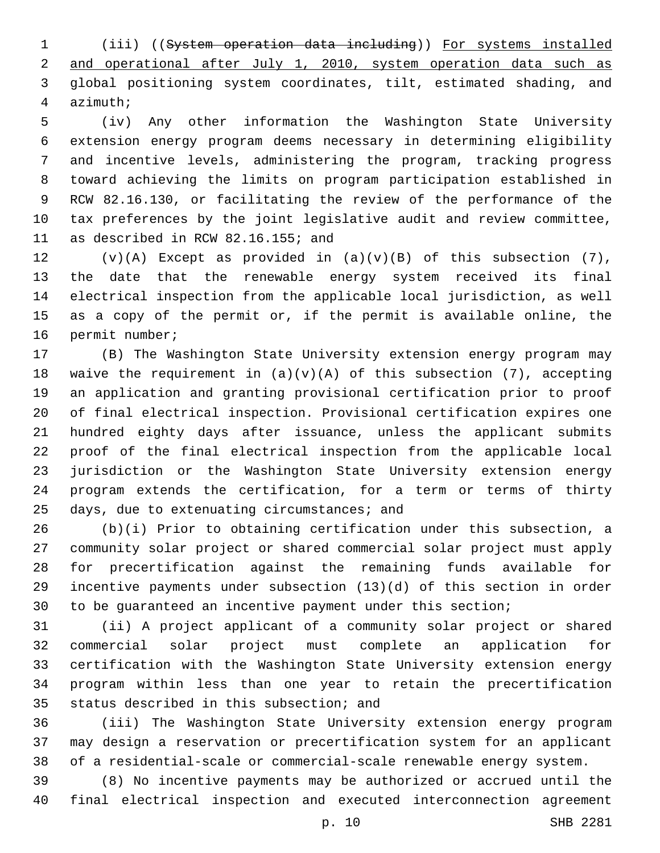(iii) ((System operation data including)) For systems installed and operational after July 1, 2010, system operation data such as global positioning system coordinates, tilt, estimated shading, and azimuth;4

 (iv) Any other information the Washington State University extension energy program deems necessary in determining eligibility and incentive levels, administering the program, tracking progress toward achieving the limits on program participation established in RCW 82.16.130, or facilitating the review of the performance of the tax preferences by the joint legislative audit and review committee, 11 as described in RCW 82.16.155; and

 $(v)(A)$  Except as provided in  $(a)(v)(B)$  of this subsection (7), the date that the renewable energy system received its final electrical inspection from the applicable local jurisdiction, as well as a copy of the permit or, if the permit is available online, the 16 permit number;

 (B) The Washington State University extension energy program may 18 waive the requirement in  $(a)(v)(A)$  of this subsection (7), accepting an application and granting provisional certification prior to proof of final electrical inspection. Provisional certification expires one hundred eighty days after issuance, unless the applicant submits proof of the final electrical inspection from the applicable local jurisdiction or the Washington State University extension energy program extends the certification, for a term or terms of thirty days, due to extenuating circumstances; and

 (b)(i) Prior to obtaining certification under this subsection, a community solar project or shared commercial solar project must apply for precertification against the remaining funds available for incentive payments under subsection (13)(d) of this section in order to be guaranteed an incentive payment under this section;

 (ii) A project applicant of a community solar project or shared commercial solar project must complete an application for certification with the Washington State University extension energy program within less than one year to retain the precertification 35 status described in this subsection; and

 (iii) The Washington State University extension energy program may design a reservation or precertification system for an applicant of a residential-scale or commercial-scale renewable energy system.

 (8) No incentive payments may be authorized or accrued until the final electrical inspection and executed interconnection agreement

p. 10 SHB 2281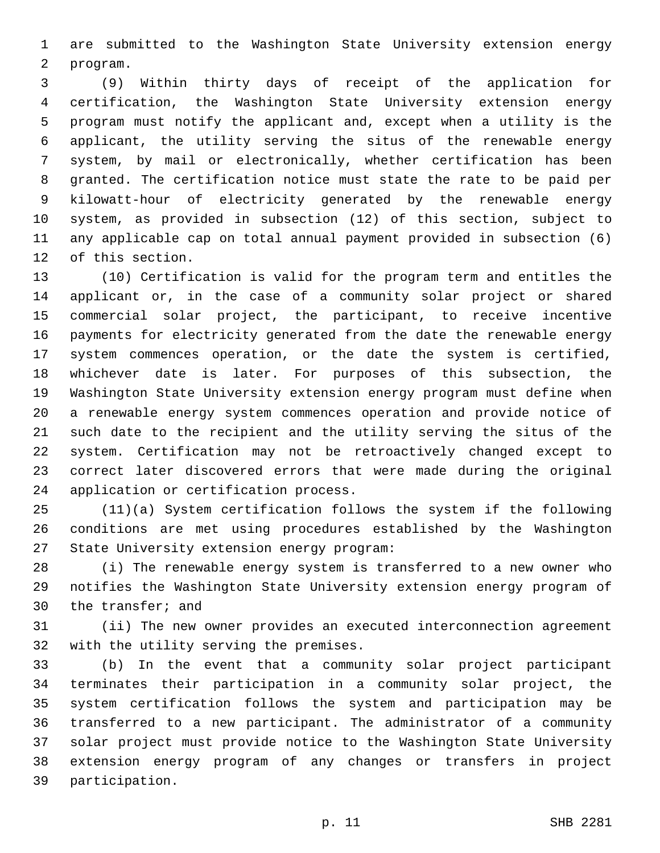are submitted to the Washington State University extension energy program.2

 (9) Within thirty days of receipt of the application for certification, the Washington State University extension energy program must notify the applicant and, except when a utility is the applicant, the utility serving the situs of the renewable energy system, by mail or electronically, whether certification has been granted. The certification notice must state the rate to be paid per kilowatt-hour of electricity generated by the renewable energy system, as provided in subsection (12) of this section, subject to any applicable cap on total annual payment provided in subsection (6) 12 of this section.

 (10) Certification is valid for the program term and entitles the applicant or, in the case of a community solar project or shared commercial solar project, the participant, to receive incentive payments for electricity generated from the date the renewable energy system commences operation, or the date the system is certified, whichever date is later. For purposes of this subsection, the Washington State University extension energy program must define when a renewable energy system commences operation and provide notice of such date to the recipient and the utility serving the situs of the system. Certification may not be retroactively changed except to correct later discovered errors that were made during the original 24 application or certification process.

 (11)(a) System certification follows the system if the following conditions are met using procedures established by the Washington 27 State University extension energy program:

 (i) The renewable energy system is transferred to a new owner who notifies the Washington State University extension energy program of 30 the transfer; and

 (ii) The new owner provides an executed interconnection agreement 32 with the utility serving the premises.

 (b) In the event that a community solar project participant terminates their participation in a community solar project, the system certification follows the system and participation may be transferred to a new participant. The administrator of a community solar project must provide notice to the Washington State University extension energy program of any changes or transfers in project 39 participation.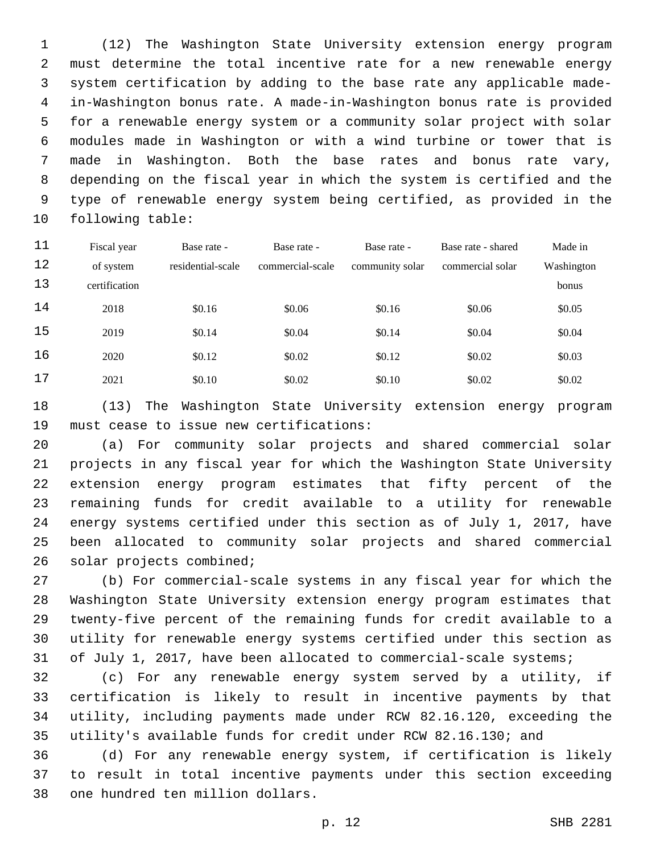(12) The Washington State University extension energy program must determine the total incentive rate for a new renewable energy system certification by adding to the base rate any applicable made- in-Washington bonus rate. A made-in-Washington bonus rate is provided for a renewable energy system or a community solar project with solar modules made in Washington or with a wind turbine or tower that is made in Washington. Both the base rates and bonus rate vary, depending on the fiscal year in which the system is certified and the type of renewable energy system being certified, as provided in the 10 following table:

| 11 | Fiscal year   | Base rate -       | Base rate -      | Base rate -     | Base rate - shared | Made in    |
|----|---------------|-------------------|------------------|-----------------|--------------------|------------|
| 12 | of system     | residential-scale | commercial-scale | community solar | commercial solar   | Washington |
| 13 | certification |                   |                  |                 |                    | bonus      |
| 14 | 2018          | \$0.16            | \$0.06           | \$0.16          | \$0.06             | \$0.05     |
| 15 | 2019          | \$0.14            | \$0.04           | \$0.14          | \$0.04             | \$0.04     |
| 16 | 2020          | \$0.12            | \$0.02           | \$0.12          | \$0.02             | \$0.03     |
| 17 | 2021          | \$0.10            | \$0.02           | \$0.10          | \$0.02             | \$0.02     |

 (13) The Washington State University extension energy program 19 must cease to issue new certifications:

 (a) For community solar projects and shared commercial solar projects in any fiscal year for which the Washington State University extension energy program estimates that fifty percent of the remaining funds for credit available to a utility for renewable energy systems certified under this section as of July 1, 2017, have been allocated to community solar projects and shared commercial 26 solar projects combined;

 (b) For commercial-scale systems in any fiscal year for which the Washington State University extension energy program estimates that twenty-five percent of the remaining funds for credit available to a utility for renewable energy systems certified under this section as 31 of July 1, 2017, have been allocated to commercial-scale systems;

 (c) For any renewable energy system served by a utility, if certification is likely to result in incentive payments by that utility, including payments made under RCW 82.16.120, exceeding the utility's available funds for credit under RCW 82.16.130; and

 (d) For any renewable energy system, if certification is likely to result in total incentive payments under this section exceeding 38 one hundred ten million dollars.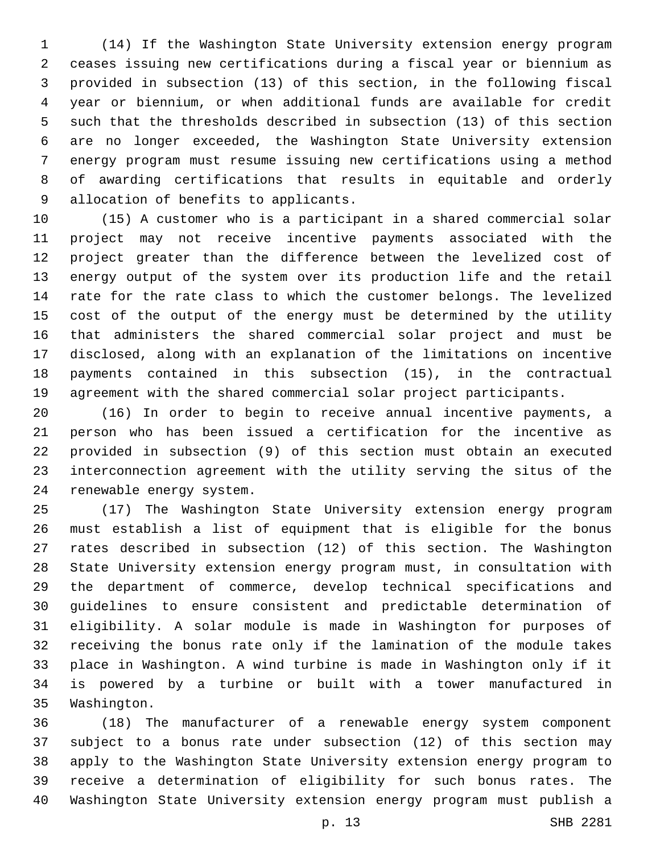(14) If the Washington State University extension energy program ceases issuing new certifications during a fiscal year or biennium as provided in subsection (13) of this section, in the following fiscal year or biennium, or when additional funds are available for credit such that the thresholds described in subsection (13) of this section are no longer exceeded, the Washington State University extension energy program must resume issuing new certifications using a method of awarding certifications that results in equitable and orderly 9 allocation of benefits to applicants.

 (15) A customer who is a participant in a shared commercial solar project may not receive incentive payments associated with the project greater than the difference between the levelized cost of energy output of the system over its production life and the retail rate for the rate class to which the customer belongs. The levelized cost of the output of the energy must be determined by the utility that administers the shared commercial solar project and must be disclosed, along with an explanation of the limitations on incentive payments contained in this subsection (15), in the contractual agreement with the shared commercial solar project participants.

 (16) In order to begin to receive annual incentive payments, a person who has been issued a certification for the incentive as provided in subsection (9) of this section must obtain an executed interconnection agreement with the utility serving the situs of the 24 renewable energy system.

 (17) The Washington State University extension energy program must establish a list of equipment that is eligible for the bonus rates described in subsection (12) of this section. The Washington State University extension energy program must, in consultation with the department of commerce, develop technical specifications and guidelines to ensure consistent and predictable determination of eligibility. A solar module is made in Washington for purposes of receiving the bonus rate only if the lamination of the module takes place in Washington. A wind turbine is made in Washington only if it is powered by a turbine or built with a tower manufactured in 35 Washington.

 (18) The manufacturer of a renewable energy system component subject to a bonus rate under subsection (12) of this section may apply to the Washington State University extension energy program to receive a determination of eligibility for such bonus rates. The Washington State University extension energy program must publish a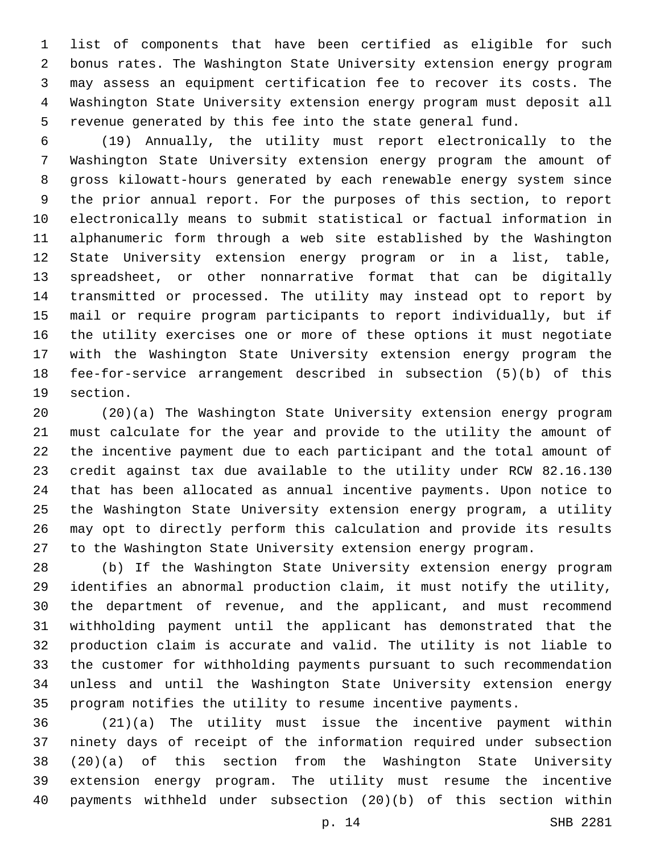list of components that have been certified as eligible for such bonus rates. The Washington State University extension energy program may assess an equipment certification fee to recover its costs. The Washington State University extension energy program must deposit all revenue generated by this fee into the state general fund.

 (19) Annually, the utility must report electronically to the Washington State University extension energy program the amount of gross kilowatt-hours generated by each renewable energy system since the prior annual report. For the purposes of this section, to report electronically means to submit statistical or factual information in alphanumeric form through a web site established by the Washington State University extension energy program or in a list, table, spreadsheet, or other nonnarrative format that can be digitally transmitted or processed. The utility may instead opt to report by mail or require program participants to report individually, but if the utility exercises one or more of these options it must negotiate with the Washington State University extension energy program the fee-for-service arrangement described in subsection (5)(b) of this 19 section.

 (20)(a) The Washington State University extension energy program must calculate for the year and provide to the utility the amount of the incentive payment due to each participant and the total amount of credit against tax due available to the utility under RCW 82.16.130 that has been allocated as annual incentive payments. Upon notice to the Washington State University extension energy program, a utility may opt to directly perform this calculation and provide its results to the Washington State University extension energy program.

 (b) If the Washington State University extension energy program identifies an abnormal production claim, it must notify the utility, the department of revenue, and the applicant, and must recommend withholding payment until the applicant has demonstrated that the production claim is accurate and valid. The utility is not liable to the customer for withholding payments pursuant to such recommendation unless and until the Washington State University extension energy program notifies the utility to resume incentive payments.

 (21)(a) The utility must issue the incentive payment within ninety days of receipt of the information required under subsection (20)(a) of this section from the Washington State University extension energy program. The utility must resume the incentive payments withheld under subsection (20)(b) of this section within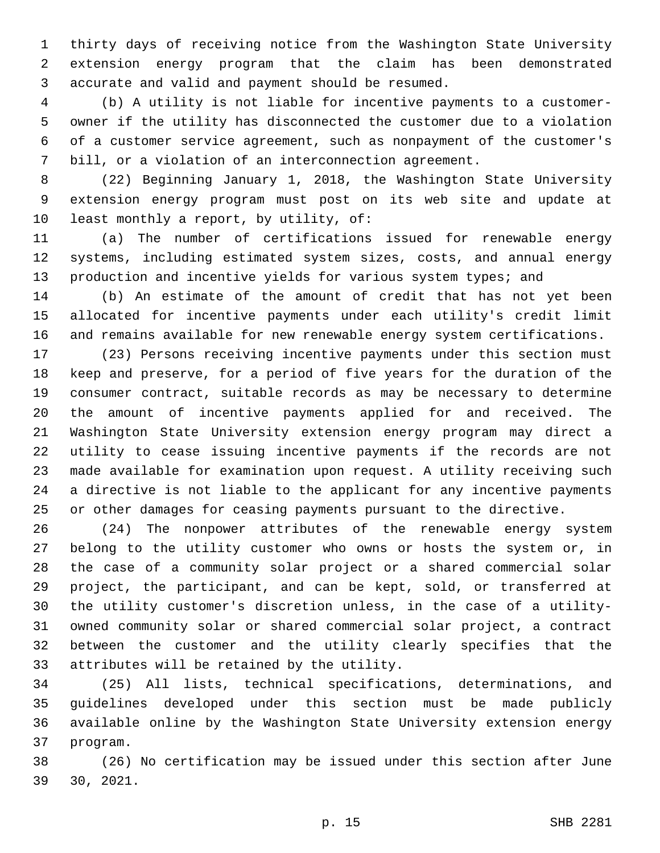thirty days of receiving notice from the Washington State University extension energy program that the claim has been demonstrated 3 accurate and valid and payment should be resumed.

 (b) A utility is not liable for incentive payments to a customer- owner if the utility has disconnected the customer due to a violation of a customer service agreement, such as nonpayment of the customer's bill, or a violation of an interconnection agreement.

 (22) Beginning January 1, 2018, the Washington State University extension energy program must post on its web site and update at 10 least monthly a report, by utility, of:

 (a) The number of certifications issued for renewable energy systems, including estimated system sizes, costs, and annual energy 13 production and incentive yields for various system types; and

 (b) An estimate of the amount of credit that has not yet been allocated for incentive payments under each utility's credit limit and remains available for new renewable energy system certifications.

 (23) Persons receiving incentive payments under this section must keep and preserve, for a period of five years for the duration of the consumer contract, suitable records as may be necessary to determine the amount of incentive payments applied for and received. The Washington State University extension energy program may direct a utility to cease issuing incentive payments if the records are not made available for examination upon request. A utility receiving such a directive is not liable to the applicant for any incentive payments or other damages for ceasing payments pursuant to the directive.

 (24) The nonpower attributes of the renewable energy system belong to the utility customer who owns or hosts the system or, in the case of a community solar project or a shared commercial solar project, the participant, and can be kept, sold, or transferred at the utility customer's discretion unless, in the case of a utility- owned community solar or shared commercial solar project, a contract between the customer and the utility clearly specifies that the 33 attributes will be retained by the utility.

 (25) All lists, technical specifications, determinations, and guidelines developed under this section must be made publicly available online by the Washington State University extension energy 37 program.

 (26) No certification may be issued under this section after June 30, 2021.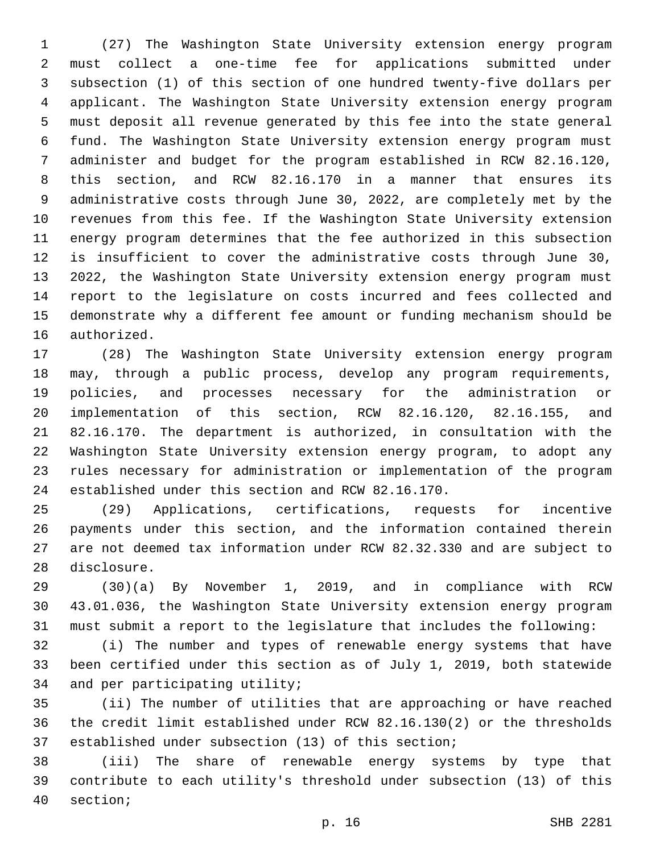(27) The Washington State University extension energy program must collect a one-time fee for applications submitted under subsection (1) of this section of one hundred twenty-five dollars per applicant. The Washington State University extension energy program must deposit all revenue generated by this fee into the state general fund. The Washington State University extension energy program must administer and budget for the program established in RCW 82.16.120, this section, and RCW 82.16.170 in a manner that ensures its administrative costs through June 30, 2022, are completely met by the revenues from this fee. If the Washington State University extension energy program determines that the fee authorized in this subsection is insufficient to cover the administrative costs through June 30, 2022, the Washington State University extension energy program must report to the legislature on costs incurred and fees collected and demonstrate why a different fee amount or funding mechanism should be 16 authorized.

 (28) The Washington State University extension energy program may, through a public process, develop any program requirements, policies, and processes necessary for the administration or implementation of this section, RCW 82.16.120, 82.16.155, and 82.16.170. The department is authorized, in consultation with the Washington State University extension energy program, to adopt any rules necessary for administration or implementation of the program 24 established under this section and RCW 82.16.170.

 (29) Applications, certifications, requests for incentive payments under this section, and the information contained therein are not deemed tax information under RCW 82.32.330 and are subject to 28 disclosure.

 (30)(a) By November 1, 2019, and in compliance with RCW 43.01.036, the Washington State University extension energy program must submit a report to the legislature that includes the following:

 (i) The number and types of renewable energy systems that have been certified under this section as of July 1, 2019, both statewide 34 and per participating utility;

 (ii) The number of utilities that are approaching or have reached the credit limit established under RCW 82.16.130(2) or the thresholds established under subsection (13) of this section;

 (iii) The share of renewable energy systems by type that contribute to each utility's threshold under subsection (13) of this 40 section;